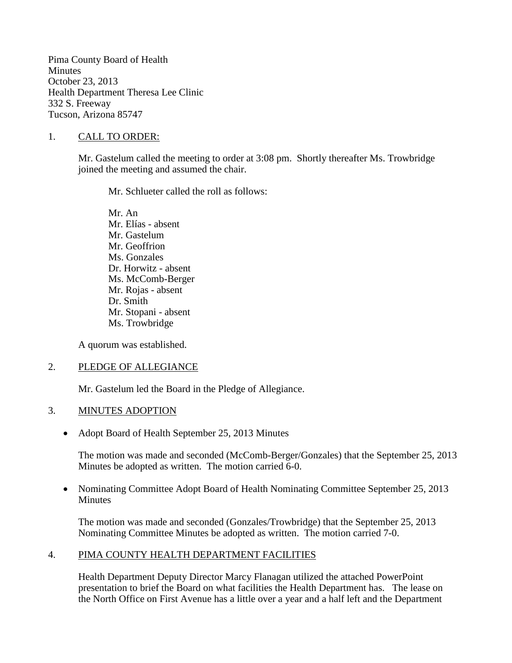Pima County Board of Health **Minutes** October 23, 2013 Health Department Theresa Lee Clinic 332 S. Freeway Tucson, Arizona 85747

### 1. CALL TO ORDER:

Mr. Gastelum called the meeting to order at 3:08 pm. Shortly thereafter Ms. Trowbridge joined the meeting and assumed the chair.

Mr. Schlueter called the roll as follows:

Mr. An Mr. Elías - absent Mr. Gastelum Mr. Geoffrion Ms. Gonzales Dr. Horwitz - absent Ms. McComb-Berger Mr. Rojas - absent Dr. Smith Mr. Stopani - absent Ms. Trowbridge

A quorum was established.

# 2. PLEDGE OF ALLEGIANCE

Mr. Gastelum led the Board in the Pledge of Allegiance.

# 3. MINUTES ADOPTION

• Adopt Board of Health September 25, 2013 Minutes

The motion was made and seconded (McComb-Berger/Gonzales) that the September 25, 2013 Minutes be adopted as written. The motion carried 6-0.

• Nominating Committee Adopt Board of Health Nominating Committee September 25, 2013 **Minutes** 

The motion was made and seconded (Gonzales/Trowbridge) that the September 25, 2013 Nominating Committee Minutes be adopted as written. The motion carried 7-0.

# 4. PIMA COUNTY HEALTH DEPARTMENT FACILITIES

Health Department Deputy Director Marcy Flanagan utilized the attached PowerPoint presentation to brief the Board on what facilities the Health Department has. The lease on the North Office on First Avenue has a little over a year and a half left and the Department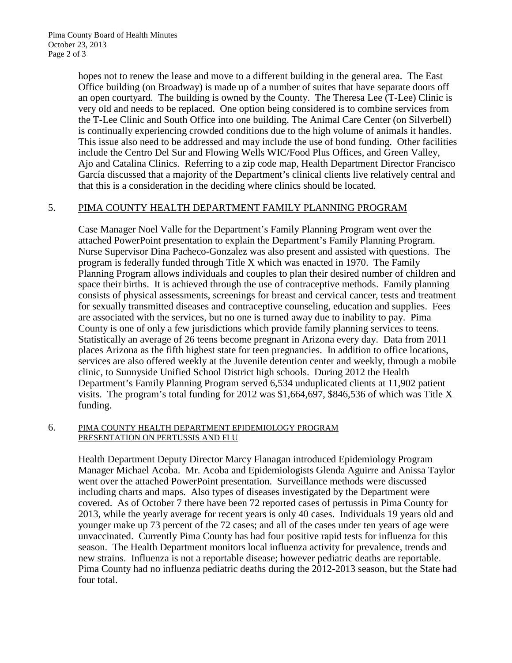hopes not to renew the lease and move to a different building in the general area. The East Office building (on Broadway) is made up of a number of suites that have separate doors off an open courtyard. The building is owned by the County. The Theresa Lee (T-Lee) Clinic is very old and needs to be replaced. One option being considered is to combine services from the T-Lee Clinic and South Office into one building. The Animal Care Center (on Silverbell) is continually experiencing crowded conditions due to the high volume of animals it handles. This issue also need to be addressed and may include the use of bond funding. Other facilities include the Centro Del Sur and Flowing Wells WIC/Food Plus Offices, and Green Valley, Ajo and Catalina Clinics. Referring to a zip code map, Health Department Director Francisco García discussed that a majority of the Department's clinical clients live relatively central and that this is a consideration in the deciding where clinics should be located.

# 5. PIMA COUNTY HEALTH DEPARTMENT FAMILY PLANNING PROGRAM

Case Manager Noel Valle for the Department's Family Planning Program went over the attached PowerPoint presentation to explain the Department's Family Planning Program. Nurse Supervisor Dina Pacheco-Gonzalez was also present and assisted with questions. The program is federally funded through Title X which was enacted in 1970. The Family Planning Program allows individuals and couples to plan their desired number of children and space their births. It is achieved through the use of contraceptive methods. Family planning consists of physical assessments, screenings for breast and cervical cancer, tests and treatment for sexually transmitted diseases and contraceptive counseling, education and supplies. Fees are associated with the services, but no one is turned away due to inability to pay. Pima County is one of only a few jurisdictions which provide family planning services to teens. Statistically an average of 26 teens become pregnant in Arizona every day. Data from 2011 places Arizona as the fifth highest state for teen pregnancies. In addition to office locations, services are also offered weekly at the Juvenile detention center and weekly, through a mobile clinic, to Sunnyside Unified School District high schools. During 2012 the Health Department's Family Planning Program served 6,534 unduplicated clients at 11,902 patient visits. The program's total funding for 2012 was \$1,664,697, \$846,536 of which was Title X funding.

#### 6. PIMA COUNTY HEALTH DEPARTMENT EPIDEMIOLOGY PROGRAM PRESENTATION ON PERTUSSIS AND FLU

Health Department Deputy Director Marcy Flanagan introduced Epidemiology Program Manager Michael Acoba. Mr. Acoba and Epidemiologists Glenda Aguirre and Anissa Taylor went over the attached PowerPoint presentation. Surveillance methods were discussed including charts and maps. Also types of diseases investigated by the Department were covered. As of October 7 there have been 72 reported cases of pertussis in Pima County for 2013, while the yearly average for recent years is only 40 cases. Individuals 19 years old and younger make up 73 percent of the 72 cases; and all of the cases under ten years of age were unvaccinated. Currently Pima County has had four positive rapid tests for influenza for this season. The Health Department monitors local influenza activity for prevalence, trends and new strains. Influenza is not a reportable disease; however pediatric deaths are reportable. Pima County had no influenza pediatric deaths during the 2012-2013 season, but the State had four total.